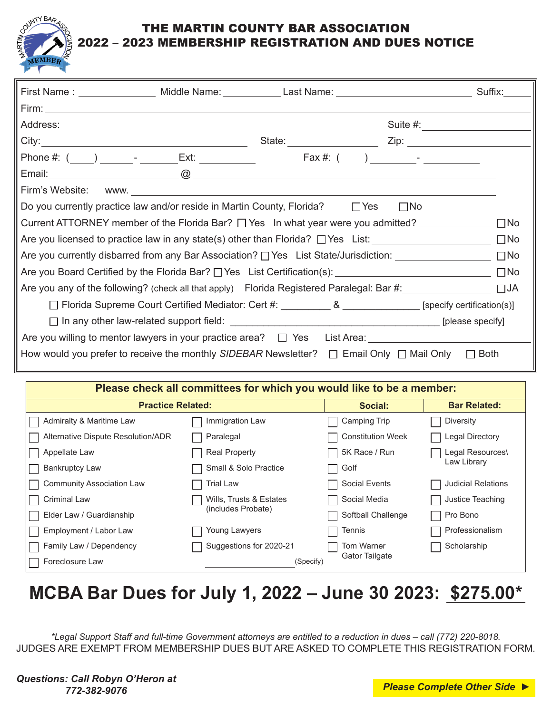

## TIN COUNTY BAR ASSOCIATION 2022 – 2023 MEMBERSHIP REGISTRATION AND DUES NOTICE

|                                                                                                                   |  | First Name : ___________________ Middle Name: ______________Last Name: _____________________________            |  | Suffix: |  |
|-------------------------------------------------------------------------------------------------------------------|--|-----------------------------------------------------------------------------------------------------------------|--|---------|--|
|                                                                                                                   |  |                                                                                                                 |  |         |  |
|                                                                                                                   |  |                                                                                                                 |  |         |  |
|                                                                                                                   |  |                                                                                                                 |  |         |  |
|                                                                                                                   |  |                                                                                                                 |  |         |  |
|                                                                                                                   |  | Email: 2008. 2009. 2009. 2009. 2009. 2009. 2010. 2010. 2010. 2010. 2010. 2010. 2010. 2010. 2010. 2010. 2010. 20 |  |         |  |
| Firm's Website:                                                                                                   |  | WWW.                                                                                                            |  |         |  |
| Do you currently practice law and/or reside in Martin County, Florida? $\Box$ Yes<br>$\square$ No                 |  |                                                                                                                 |  |         |  |
| Current ATTORNEY member of the Florida Bar? $\Box$ Yes In what year were you admitted?<br>$\Box$ No               |  |                                                                                                                 |  |         |  |
| Are you licensed to practice law in any state(s) other than Florida? $\Box$ Yes List:                             |  |                                                                                                                 |  |         |  |
| Are you currently disbarred from any Bar Association? □ Yes List State/Jurisdiction: ____________________ □ No    |  |                                                                                                                 |  |         |  |
|                                                                                                                   |  |                                                                                                                 |  |         |  |
|                                                                                                                   |  |                                                                                                                 |  |         |  |
| □ Florida Supreme Court Certified Mediator: Cert #: __________ & _______________ [specify certification(s)]       |  |                                                                                                                 |  |         |  |
|                                                                                                                   |  |                                                                                                                 |  |         |  |
| Are you willing to mentor lawyers in your practice area? □ Yes List Area: ______________                          |  |                                                                                                                 |  |         |  |
| How would you prefer to receive the monthly SIDEBAR Newsletter? $\Box$ Email Only $\Box$ Mail Only<br>$\Box$ Both |  |                                                                                                                 |  |         |  |

| Please check all committees for which you would like to be a member: |                         |                          |                           |  |  |  |
|----------------------------------------------------------------------|-------------------------|--------------------------|---------------------------|--|--|--|
| <b>Practice Related:</b>                                             |                         | Social:                  | <b>Bar Related:</b>       |  |  |  |
| Admiralty & Maritime Law                                             | Immigration Law         | <b>Camping Trip</b>      | <b>Diversity</b>          |  |  |  |
| Alternative Dispute Resolution/ADR                                   | Paralegal               | <b>Constitution Week</b> | Legal Directory           |  |  |  |
| Appellate Law                                                        | <b>Real Property</b>    | 5K Race / Run            | Legal Resources\          |  |  |  |
| <b>Bankruptcy Law</b>                                                | Small & Solo Practice   | Golf                     | Law Library               |  |  |  |
| <b>Community Association Law</b>                                     | Trial Law               | <b>Social Events</b>     | <b>Judicial Relations</b> |  |  |  |
| <b>Criminal Law</b>                                                  | Wills, Trusts & Estates | Social Media             | Justice Teaching          |  |  |  |
| Elder Law / Guardianship                                             | (includes Probate)      | Softball Challenge       | Pro Bono                  |  |  |  |
| Employment / Labor Law                                               | Young Lawyers           | Tennis                   | Professionalism           |  |  |  |
| Family Law / Dependency                                              | Suggestions for 2020-21 | <b>Tom Warner</b>        | Scholarship               |  |  |  |
| Foreclosure Law                                                      | (Specify)               | Gator Tailgate           |                           |  |  |  |

## **MCBA Bar Dues for July 1, 2022 – June 30 2023: \$275.00\***

*\*Legal Support Staff and full-time Government attorneys are entitled to a reduction in dues – call (772) 220-8018.* JUDGES ARE EXEMPT FROM MEMBERSHIP DUES BUT ARE ASKED TO COMPLETE THIS REGISTRATION FORM.